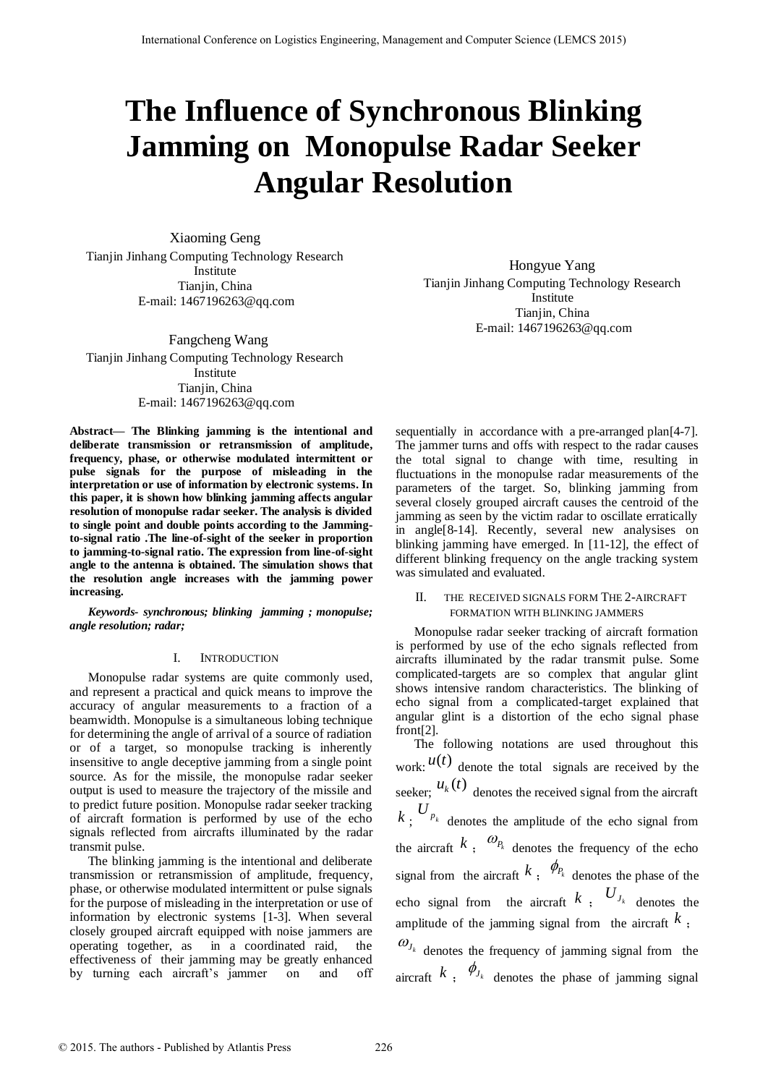# **The Influence of Synchronous Blinking Jamming on Monopulse Radar Seeker Angular Resolution**

Xiaoming Geng Tianjin Jinhang Computing Technology Research Institute Tianjin, China E-mail: [1467196263@qq.com](mailto:653618810@qq.com)

 Fangcheng Wang Tianjin Jinhang Computing Technology Research Institute Tianjin, China E-mail: [1467196263@qq.com](mailto:653618810@qq.com)

**Abstract— The Blinking jamming is the intentional and deliberate transmission or retransmission of amplitude, frequency, phase, or otherwise modulated intermittent or pulse signals for the purpose of misleading in the interpretation or use of information by electronic systems. In this paper, it is shown how blinking jamming affects angular resolution of monopulse radar seeker. The analysis is divided to single point and double points according to the Jammingto-signal ratio .The line-of-sight of the seeker in proportion to jamming-to-signal ratio. The expression from line-of-sight angle to the antenna is obtained. The simulation shows that the resolution angle increases with the jamming power increasing.** 

*Keywords- synchronous; blinking jamming ; monopulse; angle resolution; radar;* 

## I. INTRODUCTION

Monopulse radar systems are quite commonly used, and represent a practical and quick means to improve the accuracy of angular measurements to a fraction of a beamwidth. Monopulse is a simultaneous lobing technique for determining the angle of arrival of a source of radiation or of a target, so monopulse tracking is inherently insensitive to angle deceptive jamming from a single point source. As for the missile, the monopulse radar seeker output is used to measure the trajectory of the missile and to predict future position. Monopulse radar seeker tracking of aircraft formation is performed by use of the echo signals reflected from aircrafts illuminated by the radar transmit pulse.

The blinking jamming is the intentional and deliberate transmission or retransmission of amplitude, frequency, phase, or otherwise modulated intermittent or pulse signals for the purpose of misleading in the interpretation or use of information by electronic systems [1-3]. When several closely grouped aircraft equipped with noise jammers are operating together, as in a coordinated raid, the effectiveness of their jamming may be greatly enhanced by turning each aircraft's jammer on and off

Hongyue Yang Tianjin Jinhang Computing Technology Research Institute Tianjin, China E-mail[: 1467196263@qq.com](mailto:653618810@qq.com)

sequentially in accordance with a pre-arranged plan[4-7]. The jammer turns and offs with respect to the radar causes the total signal to change with time, resulting in fluctuations in the monopulse radar measurements of the parameters of the target. So, blinking jamming from several closely grouped aircraft causes the centroid of the jamming as seen by the victim radar to oscillate erratically in angle[8-14]. Recently, several new analysises on blinking jamming have emerged. In [11-12], the effect of different blinking frequency on the angle tracking system was simulated and evaluated.

## II. THE RECEIVED SIGNALS FORM THE 2-AIRCRAFT FORMATION WITH BLINKING JAMMERS

Monopulse radar seeker tracking of aircraft formation is performed by use of the echo signals reflected from aircrafts illuminated by the radar transmit pulse. Some complicated-targets are so complex that angular glint shows intensive random characteristics. The blinking of echo signal from a complicated-target explained that angular glint is a distortion of the echo signal phase front[2].

The following notations are used throughout this work:  $u(t)$  denote the total signals are received by the seeker;  $u_k(t)$  denotes the received signal from the aircraft  $k$ ;  $U_{p_k}$  denotes the amplitude of the echo signal from the aircraft  $k$ ;  $\omega_{P_k}$  denotes the frequency of the echo signal from the aircraft  $k$ ;  $\phi_{P_k}$  denotes the phase of the echo signal from the aircraft  $k$ ,  $U_{j_k}$  denotes the amplitude of the jamming signal from the aircraft  $k$ ;  $\omega_{J_k}$  denotes the frequency of jamming signal from the

aircraft  $k$ ;  $\phi_{J_k}$  denotes the phase of jamming signal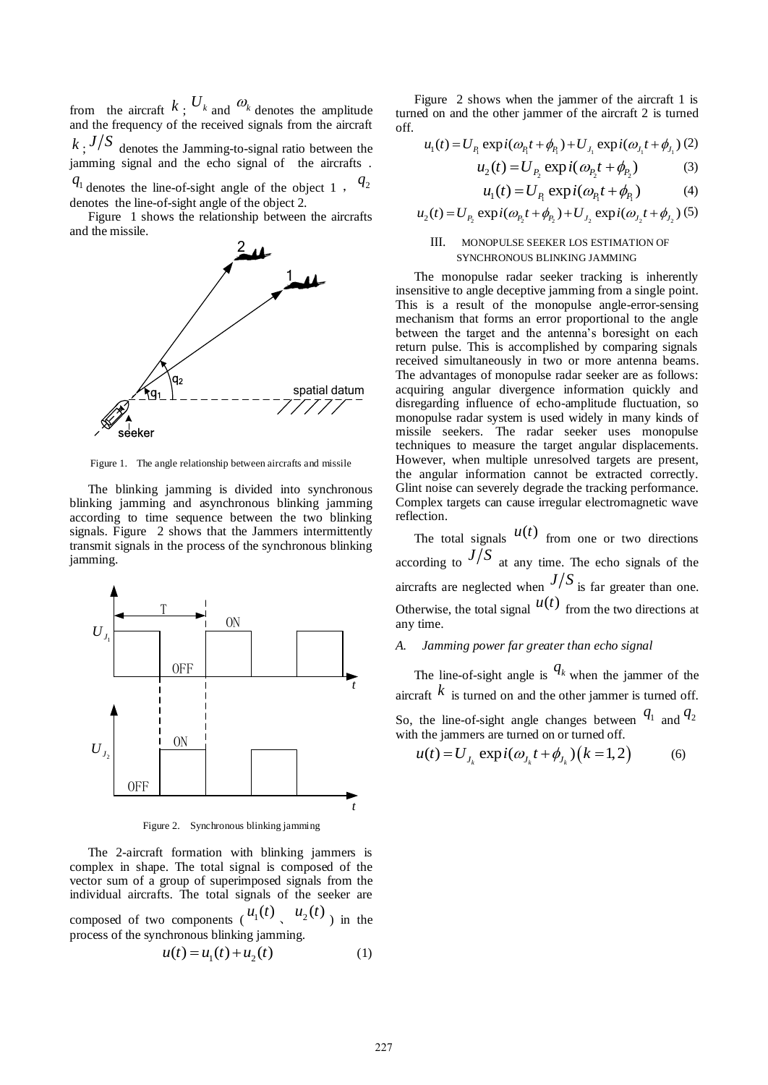from the aircraft  $k$ ;  $U_k$  and  $\omega_k$  denotes the amplitude and the frequency of the received signals from the aircraft  $k$ ;  $J/S$  denotes the Jamming-to-signal ratio between the jamming signal and the echo signal of the aircrafts .  $q_1$  denotes the line-of-sight angle of the object 1,  $q_2$ 

denotes the line-of-sight angle of the object 2.

Figure 1 shows the relationship between the aircrafts and the missile.



Figure 1. The angle relationship between aircrafts and missile

The blinking jamming is divided into synchronous blinking jamming and asynchronous blinking jamming according to time sequence between the two blinking signals. Figure 2 shows that the Jammers intermittently transmit signals in the process of the synchronous blinking jamming.



Figure 2. Synchronous blinking jamming

The 2-aircraft formation with blinking jammers is complex in shape. The total signal is composed of the vector sum of a group of superimposed signals from the individual aircrafts. The total signals of the seeker are composed of two components  $u_1(t)$ ,  $u_2(t)$  in the process of the synchronous blinking jamming.

$$
u(t) = u_1(t) + u_2(t)
$$
 (1)

Figure 2 shows when the jammer of the aircraft 1 is turned on and the other jammer of the aircraft 2 is turned off.<br>  $u_1(t) = U_{P_1} \exp i(\omega_{P_1} t + \phi_{P_1}) + U_{J_1} \exp i(\omega_{J_1} t + \phi_{J_1})$  (2) off.

$$
u_1(t) = U_{P_1} \exp i(\omega_{P_1} t + \phi_{P_1}) + U_{J_1} \exp i(\omega_{J_1} t + \phi_{J_1}) (2)
$$

$$
u_2(t) = U_{P_2} \exp i(\omega_{P_1} t + \phi_{P_2})
$$
 (3)

$$
u_1(t) = U_{P_1} \exp i(\omega_{P_1} t + \phi_{P_1})
$$
 (4)

$$
u_1(t) = U_{P_1} \exp i(\omega_{P_1} t + \phi_{P_1})
$$
 (4)  

$$
u_2(t) = U_{P_2} \exp i(\omega_{P_2} t + \phi_{P_2}) + U_{J_2} \exp i(\omega_{J_2} t + \phi_{J_2})
$$
 (5)

### III. MONOPULSE SEEKER LOS ESTIMATION OF SYNCHRONOUS BLINKING JAMMING

The monopulse radar seeker tracking is inherently insensitive to angle deceptive jamming from a single point. This is a result of the monopulse angle-error-sensing mechanism that forms an error proportional to the angle between the target and the antenna's boresight on each return pulse. This is accomplished by comparing signals received simultaneously in two or more antenna beams. The advantages of monopulse radar seeker are as follows: acquiring angular divergence information quickly and disregarding influence of echo-amplitude fluctuation, so monopulse radar system is used widely in many kinds of missile seekers. The radar seeker uses monopulse techniques to measure the target angular displacements. However, when multiple unresolved targets are present, the angular information cannot be extracted correctly. Glint noise can severely degrade the tracking performance. Complex targets can cause irregular electromagnetic wave reflection.

The total signals  $u(t)$  from one or two directions according to  $J/S$  at any time. The echo signals of the aircrafts are neglected when  $J/S$  is far greater than one. Otherwise, the total signal  $u(t)$  from the two directions at any time.

# *A. Jamming power far greater than echo signal*

 $t = \frac{1}{k}$ The line-of-sight angle is  $q_k$  when the jammer of the aircraft  $k$  is turned on and the other jammer is turned off. So, the line-of-sight angle changes between  $q_1$  and  $q_2$ 

So, the line-of-sight angle changes between <sup>11</sup> and <sup>2</sup> with the jammers are turned on or turned off. 
$$
u(t) = U_{J_k} \exp(i(\omega_{J_k} t + \phi_{J_k}) \left(k = 1, 2\right)
$$
 (6)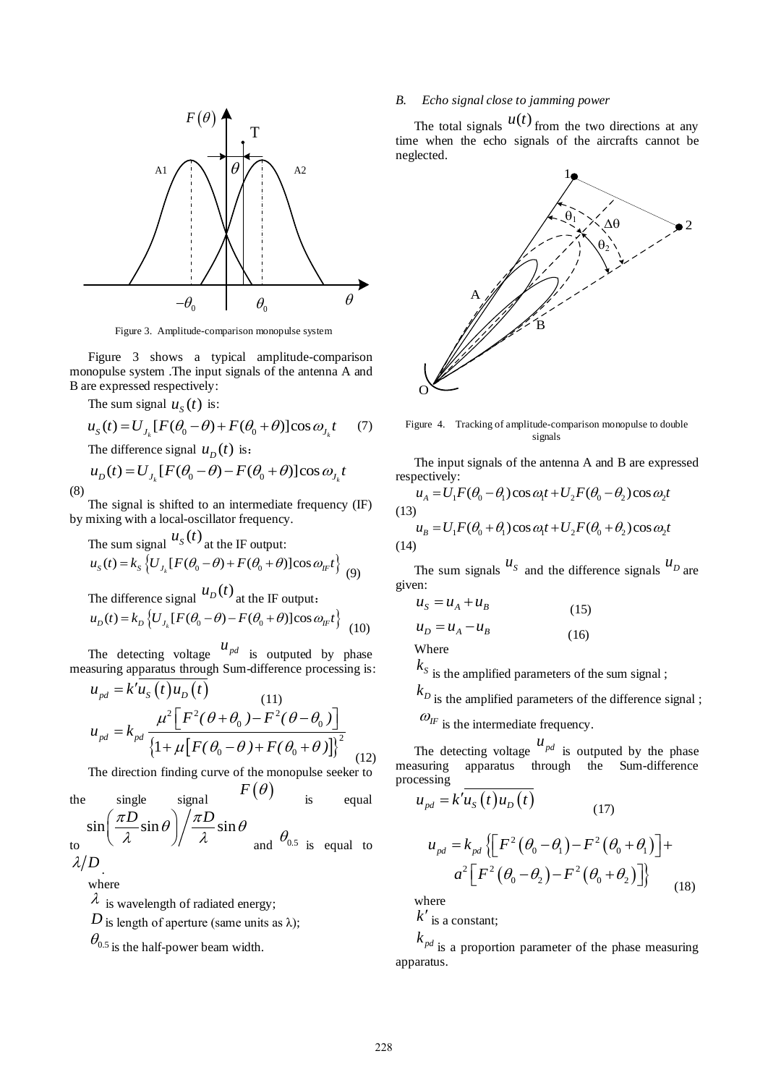

Figure 3. Amplitude-comparison monopulse system

Figure 3 shows a typical amplitude-comparison monopulse system .The input signals of the antenna A and B are expressed respectively:

The sum signal 
$$
u_s(t)
$$
 is:  
\n
$$
u_s(t) = U_{J_k}[F(\theta_0 - \theta) + F(\theta_0 + \theta)]\cos \omega_{J_k}t \qquad (7)
$$

The difference signal 
$$
u_D(t)
$$
 is:  
\n
$$
u_D(t) = U_{J_k}[F(\theta_0 - \theta) - F(\theta_0 + \theta)]\cos \omega_{J_k}t
$$
\n(8)

The signal is shifted to an intermediate frequency (IF) by mixing with a local-oscillator frequency.

The sum signal 
$$
u_s(t)
$$
 at the IF output:  
\n $u_s(t) = k_s \{ U_{J_k} [F(\theta_0 - \theta) + F(\theta_0 + \theta)] \cos \omega_{IF} t \}$  (9)

The difference signal 
$$
u_D(t)
$$
 at the IF output:  
\n $u_D(t) = k_D \{ U_{J_k} [F(\theta_0 - \theta) - F(\theta_0 + \theta)] \cos \omega_{I_k} t \}$  (10)

The detecting voltage  $u_{pd}$  is outputed by phase

measuring apparatus through Sum-difference processing is:  
\n
$$
u_{pd} = k'u_s(t)u_D(t)
$$
\n(11)  
\n
$$
u_{pd} = k_{pd} \frac{\mu^2 \left[F^2(\theta + \theta_0) - F^2(\theta - \theta_0)\right]}{\left\{1 + \mu \left[F(\theta_0 - \theta) + F(\theta_0 + \theta)\right]\right\}^2}
$$
\n(12)

The direction finding curve of the monopulse seeker to

the single signal 
$$
F(\theta)
$$
 is equal  
\n $\sin\left(\frac{\pi D}{\lambda}\sin\theta\right)\bigg/\frac{\pi D}{\lambda}\sin\theta$  and  $\theta_{0.5}$  is equal to  $\lambda/D$ .

where

 $\lambda$  is wavelength of radiated energy;

*D* is length of aperture (same units as  $\lambda$ );

 $\theta_{0.5}$  is the half-power beam width.

# *B. Echo signal close to jamming power*

The total signals  $u(t)$  from the two directions at any time when the echo signals of the aircrafts cannot be neglected.



Figure 4. Tracking of amplitude-comparison monopulse to double signals

The input signals of the antenna A and B are expressed<br>pectively:<br> $u_A = U_1 F(\theta_0 - \theta_1) \cos \omega_1 t + U_2 F(\theta_0 - \theta_2) \cos \omega_2 t$ respectively:

$$
u_A = U_1 F(\theta_0 - \theta_1) \cos \omega_1 t + U_2 F(\theta_0 - \theta_2) \cos \omega_2 t
$$
  
(13)  

$$
u_B = U_1 F(\theta_0 + \theta_1) \cos \omega_1 t + U_2 F(\theta_0 + \theta_2) \cos \omega_2 t
$$
  
(14)

The sum signals  $u_s$  and the difference signals  $u_p$  are given:

$$
uS = uA + uB
$$
  
\n
$$
uD = uA - uB
$$
  
\n(15)  
\nWhere

 $k_s$  is the amplified parameters of the sum signal ;

 $k_D$  is the amplified parameters of the difference signal ;

 $\mathcal{O}_{IF}$  is the intermediate frequency.

The detecting voltage  $u_{pd}$  is outputed by the phase measuring apparatus through the Sum-difference processing

$$
u_{pd} = k' \overline{u_s(t) u_D(t)}
$$
  
\n
$$
u_{pd} = k_{pd} \{ \left[ F^2 (\theta_0 - \theta_1) - F^2 (\theta_0 + \theta_1) \right] + a^2 \left[ F^2 (\theta_0 - \theta_2) - F^2 (\theta_0 + \theta_2) \right] \}
$$
  
\n(18)

where

 $k'$  is a constant;

 $k_{pd}$  is a proportion parameter of the phase measuring apparatus.